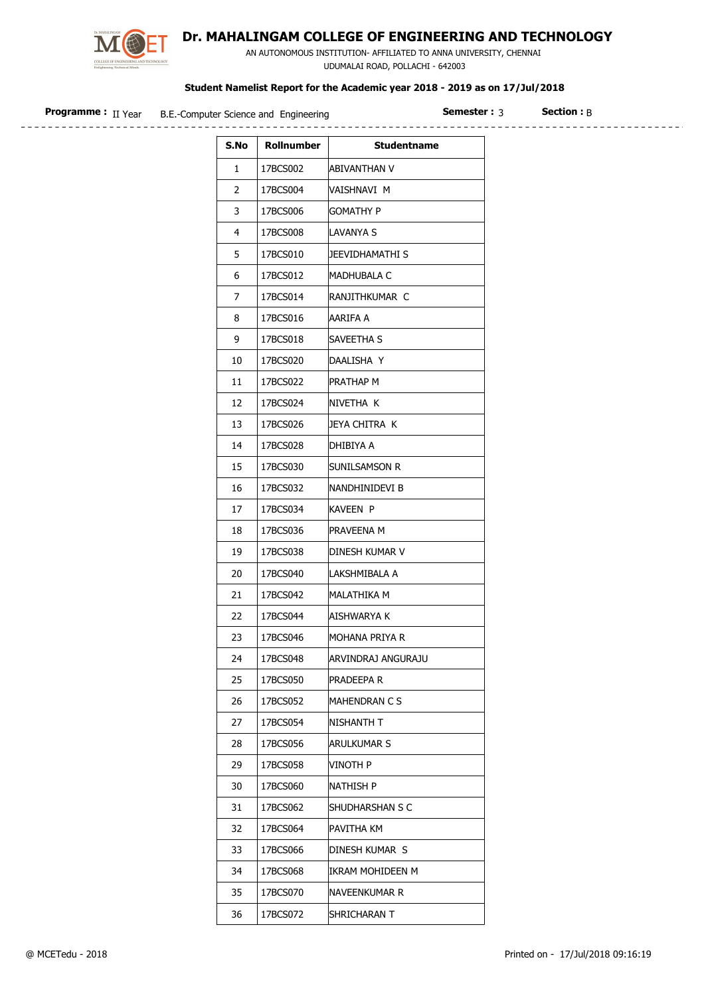

## Dr. MAHALINGAM COLLEGE OF ENGINEERING AND TECHNOLOGY

 AN AUTONOMOUS INSTITUTION- AFFILIATED TO ANNA UNIVERSITY, CHENNAI UDUMALAI ROAD, POLLACHI - 642003

## Student Namelist Report for the Academic year 2018 - 2019 as on 17/Jul/2018

| <b>Programme :</b> II Year | B.E.-Computer Science and Engineering |            | semester · ^       | $\sf Section: R$ |  |
|----------------------------|---------------------------------------|------------|--------------------|------------------|--|
|                            | S.No                                  | Rollnumber | <b>Studentname</b> |                  |  |

| S.No | Rollnumber | <b>Studentname</b> |
|------|------------|--------------------|
| 1    | 17BCS002   | IABIVANTHAN V      |
| 2    | 17BCS004   | VAISHNAVI M        |
| 3    | 17BCS006   | Gomathy P          |
| 4    | 17BCS008   | ILAVANYA S         |
| 5    | 17BCS010   | JEEVIDHAMATHI S    |
| 6    | 17BCS012   | MADHUBALA C        |
| 7    | 17BCS014   | RANJITHKUMAR C     |
| 8    | 17BCS016   | AARIFA A           |
| 9    | 17BCS018   | SAVEETHA S         |
| 10   | 17BCS020   | DAALISHA Y         |
| 11   | 17BCS022   | Prathap M          |
| 12   | 17BCS024   | INIVETHA K         |
| 13   | 17BCS026   | JEYA CHITRA K      |
| 14   | 17BCS028   | DHIBIYA A          |
| 15   | 17BCS030   | Sunilsamson R      |
| 16   | 17BCS032   | INANDHINIDEVI B    |
| 17   | 17BCS034   | KAVEEN P           |
| 18   | 17BCS036   | PRAVEENA M         |
| 19   | 17BCS038   | DINESH KUMAR V     |
| 20   | 17BCS040   | ILAKSHMIBALA A     |
| 21   | 17BCS042   | MALATHIKA M        |
| 22   | 17BCS044   | AISHWARYA K        |
| 23   | 17BCS046   | MOHANA PRIYA R     |
| 24   | 17BCS048   | ARVINDRAJ ANGURAJU |
| 25   | 17BCS050   | pradeepa r         |
| 26   | 17BCS052   | MAHENDRAN C S      |
| 27   | 17BCS054   | NISHANTH T         |
| 28   | 17BCS056   | ARULKUMAR S        |
| 29   | 17BCS058   | vinoth P           |
| 30   | 17BCS060   | NATHISH P          |
| 31   | 17BCS062   | SHUDHARSHAN S C    |
| 32   | 17BCS064   | PAVITHA KM         |
| 33   | 17BCS066   | DINESH KUMAR S     |
| 34   | 17BCS068   | IKRAM MOHIDEEN M   |
| 35   | 17BCS070   | NAVEENKUMAR R      |
| 36   | 17BCS072   | SHRICHARAN T       |